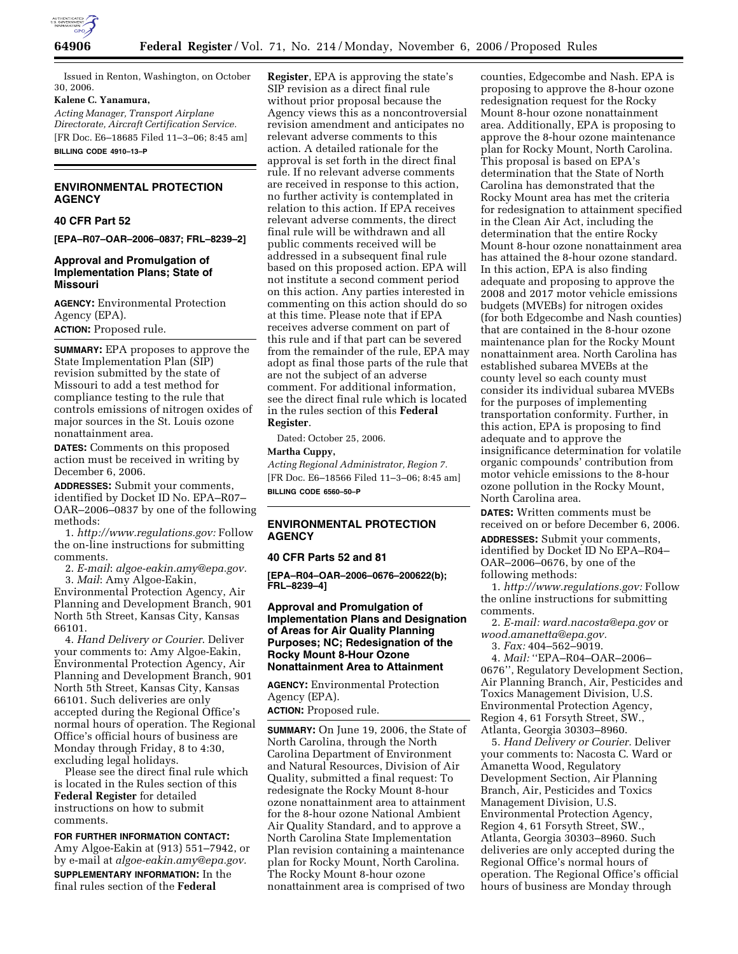

Issued in Renton, Washington, on October 30, 2006.

#### **Kalene C. Yanamura,**

*Acting Manager, Transport Airplane Directorate, Aircraft Certification Service.*  [FR Doc. E6–18685 Filed 11–3–06; 8:45 am] **BILLING CODE 4910–13–P** 

## **ENVIRONMENTAL PROTECTION AGENCY**

#### **40 CFR Part 52**

**[EPA–R07–OAR–2006–0837; FRL–8239–2]** 

### **Approval and Promulgation of Implementation Plans; State of Missouri**

**AGENCY:** Environmental Protection Agency (EPA). **ACTION:** Proposed rule.

**SUMMARY:** EPA proposes to approve the State Implementation Plan (SIP) revision submitted by the state of Missouri to add a test method for compliance testing to the rule that controls emissions of nitrogen oxides of major sources in the St. Louis ozone nonattainment area.

**DATES:** Comments on this proposed action must be received in writing by December 6, 2006.

**ADDRESSES:** Submit your comments, identified by Docket ID No. EPA–R07– OAR–2006–0837 by one of the following methods:

1. *http://www.regulations.gov:* Follow the on-line instructions for submitting comments.

2. *E-mail*: *algoe-eakin.amy@epa.gov.*  3. *Mail*: Amy Algoe-Eakin,

Environmental Protection Agency, Air Planning and Development Branch, 901 North 5th Street, Kansas City, Kansas 66101.

4. *Hand Delivery or Courier*. Deliver your comments to: Amy Algoe-Eakin, Environmental Protection Agency, Air Planning and Development Branch, 901 North 5th Street, Kansas City, Kansas 66101. Such deliveries are only accepted during the Regional Office's normal hours of operation. The Regional Office's official hours of business are Monday through Friday, 8 to 4:30, excluding legal holidays.

Please see the direct final rule which is located in the Rules section of this **Federal Register** for detailed instructions on how to submit comments.

**FOR FURTHER INFORMATION CONTACT:**  Amy Algoe-Eakin at (913) 551–7942, or by e-mail at *algoe-eakin.amy@epa.gov.*  **SUPPLEMENTARY INFORMATION:** In the final rules section of the **Federal** 

**Register**, EPA is approving the state's SIP revision as a direct final rule without prior proposal because the Agency views this as a noncontroversial revision amendment and anticipates no relevant adverse comments to this action. A detailed rationale for the approval is set forth in the direct final rule. If no relevant adverse comments are received in response to this action, no further activity is contemplated in relation to this action. If EPA receives relevant adverse comments, the direct final rule will be withdrawn and all public comments received will be addressed in a subsequent final rule based on this proposed action. EPA will not institute a second comment period on this action. Any parties interested in commenting on this action should do so at this time. Please note that if EPA receives adverse comment on part of this rule and if that part can be severed from the remainder of the rule, EPA may adopt as final those parts of the rule that are not the subject of an adverse comment. For additional information, see the direct final rule which is located in the rules section of this **Federal Register**.

Dated: October 25, 2006.

**Martha Cuppy,** 

*Acting Regional Administrator, Region 7.*  [FR Doc. E6–18566 Filed 11–3–06; 8:45 am] **BILLING CODE 6560–50–P** 

# **ENVIRONMENTAL PROTECTION AGENCY**

# **40 CFR Parts 52 and 81**

**[EPA–R04–OAR–2006–0676–200622(b); FRL–8239–4]** 

## **Approval and Promulgation of Implementation Plans and Designation of Areas for Air Quality Planning Purposes; NC; Redesignation of the Rocky Mount 8-Hour Ozone Nonattainment Area to Attainment**

**AGENCY:** Environmental Protection Agency (EPA).

**ACTION:** Proposed rule.

**SUMMARY:** On June 19, 2006, the State of North Carolina, through the North Carolina Department of Environment and Natural Resources, Division of Air Quality, submitted a final request: To redesignate the Rocky Mount 8-hour ozone nonattainment area to attainment for the 8-hour ozone National Ambient Air Quality Standard, and to approve a North Carolina State Implementation Plan revision containing a maintenance plan for Rocky Mount, North Carolina. The Rocky Mount 8-hour ozone nonattainment area is comprised of two

counties, Edgecombe and Nash. EPA is proposing to approve the 8-hour ozone redesignation request for the Rocky Mount 8-hour ozone nonattainment area. Additionally, EPA is proposing to approve the 8-hour ozone maintenance plan for Rocky Mount, North Carolina. This proposal is based on EPA's determination that the State of North Carolina has demonstrated that the Rocky Mount area has met the criteria for redesignation to attainment specified in the Clean Air Act, including the determination that the entire Rocky Mount 8-hour ozone nonattainment area has attained the 8-hour ozone standard. In this action, EPA is also finding adequate and proposing to approve the 2008 and 2017 motor vehicle emissions budgets (MVEBs) for nitrogen oxides (for both Edgecombe and Nash counties) that are contained in the 8-hour ozone maintenance plan for the Rocky Mount nonattainment area. North Carolina has established subarea MVEBs at the county level so each county must consider its individual subarea MVEBs for the purposes of implementing transportation conformity. Further, in this action, EPA is proposing to find adequate and to approve the insignificance determination for volatile organic compounds' contribution from motor vehicle emissions to the 8-hour ozone pollution in the Rocky Mount, North Carolina area.

**DATES:** Written comments must be received on or before December 6, 2006.

**ADDRESSES:** Submit your comments, identified by Docket ID No EPA–R04– OAR–2006–0676, by one of the following methods:

1. *http://www.regulations.gov:* Follow the online instructions for submitting comments.

2. *E-mail: ward.nacosta@epa.gov* or *wood.amanetta@epa.gov.* 

3. *Fax:* 404–562–9019.

4. *Mail:* ''EPA–R04–OAR–2006– 0676'', Regulatory Development Section, Air Planning Branch, Air, Pesticides and Toxics Management Division, U.S. Environmental Protection Agency, Region 4, 61 Forsyth Street, SW., Atlanta, Georgia 30303–8960.

5. *Hand Delivery or Courier.* Deliver your comments to: Nacosta C. Ward or Amanetta Wood, Regulatory Development Section, Air Planning Branch, Air, Pesticides and Toxics Management Division, U.S. Environmental Protection Agency, Region 4, 61 Forsyth Street, SW., Atlanta, Georgia 30303–8960. Such deliveries are only accepted during the Regional Office's normal hours of operation. The Regional Office's official hours of business are Monday through